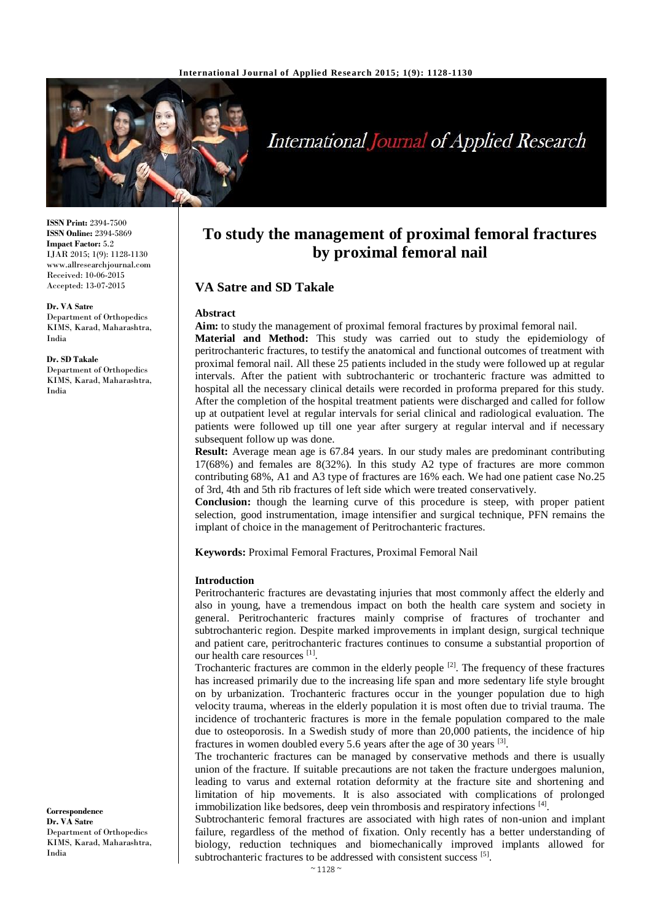

# **International Journal of Applied Research**

**ISSN Print:** 2394-7500 **ISSN Online:** 2394-5869 **Impact Factor:** 5.2 IJAR 2015; 1(9): 1128-1130 www.allresearchjournal.com Received: 10-06-2015 Accepted: 13-07-2015

**Dr. VA Satre** Department of Orthopedics KIMS, Karad, Maharashtra, India

**Dr. SD Takale**

Department of Orthopedics KIMS, Karad, Maharashtra, India

**Correspondence Dr. VA Satre** Department of Orthopedics KIMS, Karad, Maharashtra, India

# **To study the management of proximal femoral fractures by proximal femoral nail**

# **VA Satre and SD Takale**

## **Abstract**

**Aim:** to study the management of proximal femoral fractures by proximal femoral nail.

**Material and Method:** This study was carried out to study the epidemiology of peritrochanteric fractures, to testify the anatomical and functional outcomes of treatment with proximal femoral nail. All these 25 patients included in the study were followed up at regular intervals. After the patient with subtrochanteric or trochanteric fracture was admitted to hospital all the necessary clinical details were recorded in proforma prepared for this study. After the completion of the hospital treatment patients were discharged and called for follow up at outpatient level at regular intervals for serial clinical and radiological evaluation. The patients were followed up till one year after surgery at regular interval and if necessary subsequent follow up was done.

**Result:** Average mean age is 67.84 years. In our study males are predominant contributing 17(68%) and females are 8(32%). In this study A2 type of fractures are more common contributing 68%, A1 and A3 type of fractures are 16% each. We had one patient case No.25 of 3rd, 4th and 5th rib fractures of left side which were treated conservatively.

**Conclusion:** though the learning curve of this procedure is steep, with proper patient selection, good instrumentation, image intensifier and surgical technique, PFN remains the implant of choice in the management of Peritrochanteric fractures.

**Keywords:** Proximal Femoral Fractures, Proximal Femoral Nail

## **Introduction**

Peritrochanteric fractures are devastating injuries that most commonly affect the elderly and also in young, have a tremendous impact on both the health care system and society in general. Peritrochanteric fractures mainly comprise of fractures of trochanter and subtrochanteric region. Despite marked improvements in implant design, surgical technique and patient care, peritrochanteric fractures continues to consume a substantial proportion of our health care resources [1].

Trochanteric fractures are common in the elderly people  $[2]$ . The frequency of these fractures has increased primarily due to the increasing life span and more sedentary life style brought on by urbanization. Trochanteric fractures occur in the younger population due to high velocity trauma, whereas in the elderly population it is most often due to trivial trauma. The incidence of trochanteric fractures is more in the female population compared to the male due to osteoporosis. In a Swedish study of more than 20,000 patients, the incidence of hip fractures in women doubled every 5.6 years after the age of 30 years  $[3]$ .

The trochanteric fractures can be managed by conservative methods and there is usually union of the fracture. If suitable precautions are not taken the fracture undergoes malunion, leading to varus and external rotation deformity at the fracture site and shortening and limitation of hip movements. It is also associated with complications of prolonged immobilization like bedsores, deep vein thrombosis and respiratory infections [4].

Subtrochanteric femoral fractures are associated with high rates of non-union and implant failure, regardless of the method of fixation. Only recently has a better understanding of biology, reduction techniques and biomechanically improved implants allowed for subtrochanteric fractures to be addressed with consistent success [5].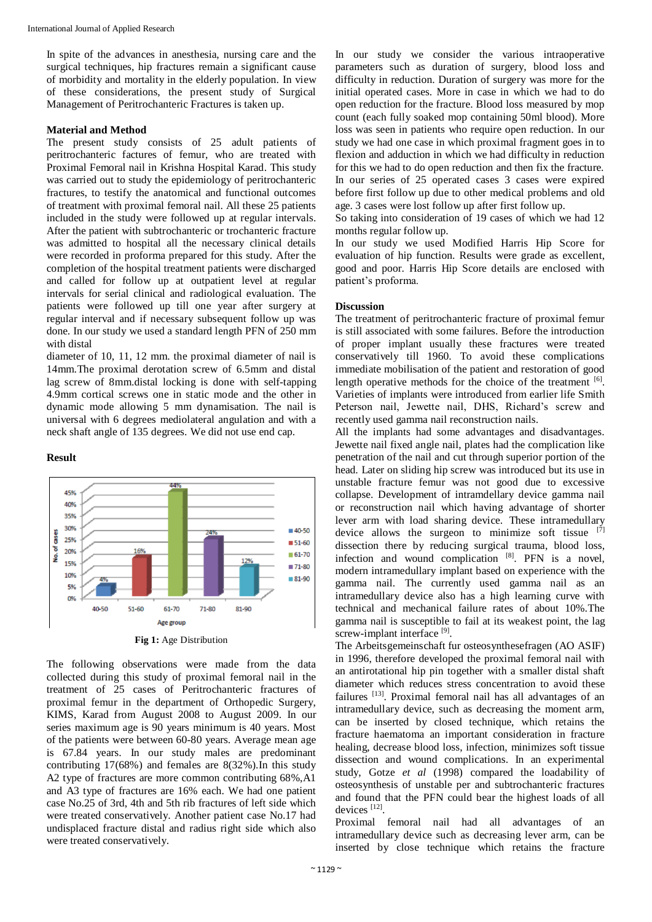In spite of the advances in anesthesia, nursing care and the surgical techniques, hip fractures remain a significant cause of morbidity and mortality in the elderly population. In view of these considerations, the present study of Surgical Management of Peritrochanteric Fractures is taken up.

#### **Material and Method**

The present study consists of 25 adult patients of peritrochanteric factures of femur, who are treated with Proximal Femoral nail in Krishna Hospital Karad. This study was carried out to study the epidemiology of peritrochanteric fractures, to testify the anatomical and functional outcomes of treatment with proximal femoral nail. All these 25 patients included in the study were followed up at regular intervals. After the patient with subtrochanteric or trochanteric fracture was admitted to hospital all the necessary clinical details were recorded in proforma prepared for this study. After the completion of the hospital treatment patients were discharged and called for follow up at outpatient level at regular intervals for serial clinical and radiological evaluation. The patients were followed up till one year after surgery at regular interval and if necessary subsequent follow up was done. In our study we used a standard length PFN of 250 mm with distal

diameter of 10, 11, 12 mm. the proximal diameter of nail is 14mm.The proximal derotation screw of 6.5mm and distal lag screw of 8mm.distal locking is done with self-tapping 4.9mm cortical screws one in static mode and the other in dynamic mode allowing 5 mm dynamisation. The nail is universal with 6 degrees mediolateral angulation and with a neck shaft angle of 135 degrees. We did not use end cap.

#### **Result**



**Fig 1:** Age Distribution

The following observations were made from the data collected during this study of proximal femoral nail in the treatment of 25 cases of Peritrochanteric fractures of proximal femur in the department of Orthopedic Surgery, KIMS, Karad from August 2008 to August 2009. In our series maximum age is 90 years minimum is 40 years. Most of the patients were between 60-80 years. Average mean age is 67.84 years. In our study males are predominant contributing 17(68%) and females are 8(32%).In this study A2 type of fractures are more common contributing 68%,A1 and A3 type of fractures are 16% each. We had one patient case No.25 of 3rd, 4th and 5th rib fractures of left side which were treated conservatively. Another patient case No.17 had undisplaced fracture distal and radius right side which also were treated conservatively.

In our study we consider the various intraoperative parameters such as duration of surgery, blood loss and difficulty in reduction. Duration of surgery was more for the initial operated cases. More in case in which we had to do open reduction for the fracture. Blood loss measured by mop count (each fully soaked mop containing 50ml blood). More loss was seen in patients who require open reduction. In our study we had one case in which proximal fragment goes in to flexion and adduction in which we had difficulty in reduction for this we had to do open reduction and then fix the fracture. In our series of 25 operated cases 3 cases were expired before first follow up due to other medical problems and old age. 3 cases were lost follow up after first follow up.

So taking into consideration of 19 cases of which we had 12 months regular follow up.

In our study we used Modified Harris Hip Score for evaluation of hip function. Results were grade as excellent, good and poor. Harris Hip Score details are enclosed with patient's proforma.

#### **Discussion**

The treatment of peritrochanteric fracture of proximal femur is still associated with some failures. Before the introduction of proper implant usually these fractures were treated conservatively till 1960. To avoid these complications immediate mobilisation of the patient and restoration of good length operative methods for the choice of the treatment  $[6]$ . Varieties of implants were introduced from earlier life Smith Peterson nail, Jewette nail, DHS, Richard's screw and recently used gamma nail reconstruction nails.

All the implants had some advantages and disadvantages. Jewette nail fixed angle nail, plates had the complication like penetration of the nail and cut through superior portion of the head. Later on sliding hip screw was introduced but its use in unstable fracture femur was not good due to excessive collapse. Development of intramdellary device gamma nail or reconstruction nail which having advantage of shorter lever arm with load sharing device. These intramedullary device allows the surgeon to minimize soft tissue  $[7]$ dissection there by reducing surgical trauma, blood loss, infection and wound complication  $[8]$ . PFN is a novel, modern intramedullary implant based on experience with the gamma nail. The currently used gamma nail as an intramedullary device also has a high learning curve with technical and mechanical failure rates of about 10%.The gamma nail is susceptible to fail at its weakest point, the lag screw-implant interface [9].

The Arbeitsgemeinschaft fur osteosynthesefragen (AO ASIF) in 1996, therefore developed the proximal femoral nail with an antirotational hip pin together with a smaller distal shaft diameter which reduces stress concentration to avoid these failures [13]. Proximal femoral nail has all advantages of an intramedullary device, such as decreasing the moment arm, can be inserted by closed technique, which retains the fracture haematoma an important consideration in fracture healing, decrease blood loss, infection, minimizes soft tissue dissection and wound complications. In an experimental study, Gotze *et al* (1998) compared the loadability of osteosynthesis of unstable per and subtrochanteric fractures and found that the PFN could bear the highest loads of all devices<sup>[12]</sup>.

Proximal femoral nail had all advantages of an intramedullary device such as decreasing lever arm, can be inserted by close technique which retains the fracture